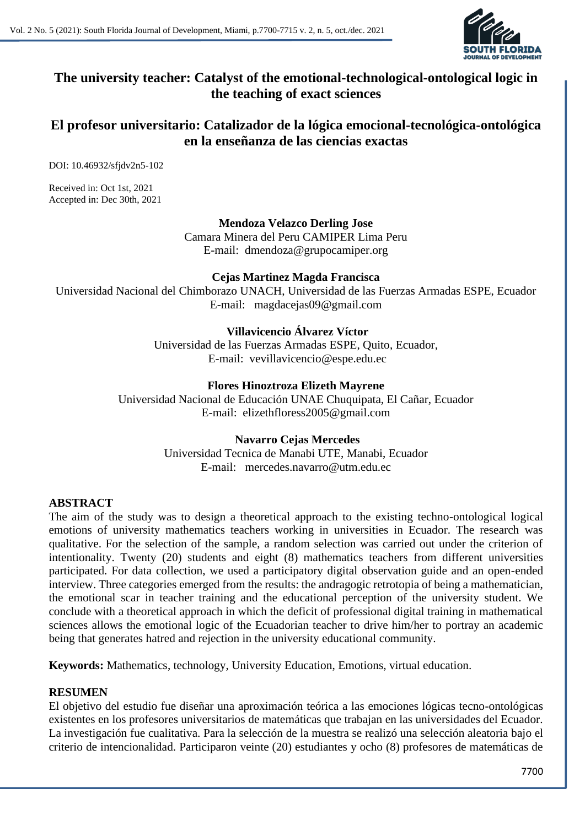# **The university teacher: Catalyst of the emotional-technological-ontological logic in the teaching of exact sciences**

# **El profesor universitario: Catalizador de la lógica emocional-tecnológica-ontológica en la enseñanza de las ciencias exactas**

DOI: 10.46932/sfjdv2n5-102

Received in: Oct 1st, 2021 Accepted in: Dec 30th, 2021

> **Mendoza Velazco Derling Jose** Camara Minera del Peru CAMIPER Lima Peru E-mail: dmendoza@grupocamiper.org

## **Cejas Martinez Magda Francisca**

Universidad Nacional del Chimborazo UNACH, Universidad de las Fuerzas Armadas ESPE, Ecuador E-mail: magdacejas09@gmail.com

**Villavicencio Álvarez Víctor** 

Universidad de las Fuerzas Armadas ESPE, Quito, Ecuador, E-mail: vevillavicencio@espe.edu.ec

## **Flores Hinoztroza Elizeth Mayrene**

Universidad Nacional de Educación UNAE Chuquipata, El Cañar, Ecuador E-mail: elizethfloress2005@gmail.com

# **Navarro Cejas Mercedes**

Universidad Tecnica de Manabi UTE, Manabi, Ecuador E-mail: mercedes.navarro@utm.edu.ec

# **ABSTRACT**

The aim of the study was to design a theoretical approach to the existing techno-ontological logical emotions of university mathematics teachers working in universities in Ecuador. The research was qualitative. For the selection of the sample, a random selection was carried out under the criterion of intentionality. Twenty (20) students and eight (8) mathematics teachers from different universities participated. For data collection, we used a participatory digital observation guide and an open-ended interview. Three categories emerged from the results: the andragogic retrotopia of being a mathematician, the emotional scar in teacher training and the educational perception of the university student. We conclude with a theoretical approach in which the deficit of professional digital training in mathematical sciences allows the emotional logic of the Ecuadorian teacher to drive him/her to portray an academic being that generates hatred and rejection in the university educational community.

**Keywords:** Mathematics, technology, University Education, Emotions, virtual education.

#### **RESUMEN**

El objetivo del estudio fue diseñar una aproximación teórica a las emociones lógicas tecno-ontológicas existentes en los profesores universitarios de matemáticas que trabajan en las universidades del Ecuador. La investigación fue cualitativa. Para la selección de la muestra se realizó una selección aleatoria bajo el criterio de intencionalidad. Participaron veinte (20) estudiantes y ocho (8) profesores de matemáticas de

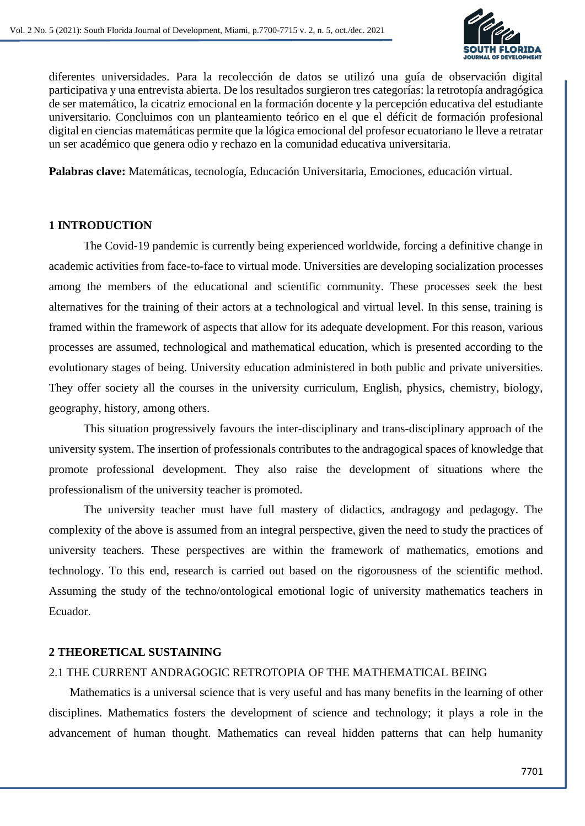

diferentes universidades. Para la recolección de datos se utilizó una guía de observación digital participativa y una entrevista abierta. De los resultados surgieron tres categorías: la retrotopía andragógica de ser matemático, la cicatriz emocional en la formación docente y la percepción educativa del estudiante universitario. Concluimos con un planteamiento teórico en el que el déficit de formación profesional digital en ciencias matemáticas permite que la lógica emocional del profesor ecuatoriano le lleve a retratar un ser académico que genera odio y rechazo en la comunidad educativa universitaria.

**Palabras clave:** Matemáticas, tecnología, Educación Universitaria, Emociones, educación virtual.

#### **1 INTRODUCTION**

The Covid-19 pandemic is currently being experienced worldwide, forcing a definitive change in academic activities from face-to-face to virtual mode. Universities are developing socialization processes among the members of the educational and scientific community. These processes seek the best alternatives for the training of their actors at a technological and virtual level. In this sense, training is framed within the framework of aspects that allow for its adequate development. For this reason, various processes are assumed, technological and mathematical education, which is presented according to the evolutionary stages of being. University education administered in both public and private universities. They offer society all the courses in the university curriculum, English, physics, chemistry, biology, geography, history, among others.

This situation progressively favours the inter-disciplinary and trans-disciplinary approach of the university system. The insertion of professionals contributes to the andragogical spaces of knowledge that promote professional development. They also raise the development of situations where the professionalism of the university teacher is promoted.

The university teacher must have full mastery of didactics, andragogy and pedagogy. The complexity of the above is assumed from an integral perspective, given the need to study the practices of university teachers. These perspectives are within the framework of mathematics, emotions and technology. To this end, research is carried out based on the rigorousness of the scientific method. Assuming the study of the techno/ontological emotional logic of university mathematics teachers in Ecuador.

# **2 THEORETICAL SUSTAINING**

# 2.1 THE CURRENT ANDRAGOGIC RETROTOPIA OF THE MATHEMATICAL BEING

Mathematics is a universal science that is very useful and has many benefits in the learning of other disciplines. Mathematics fosters the development of science and technology; it plays a role in the advancement of human thought. Mathematics can reveal hidden patterns that can help humanity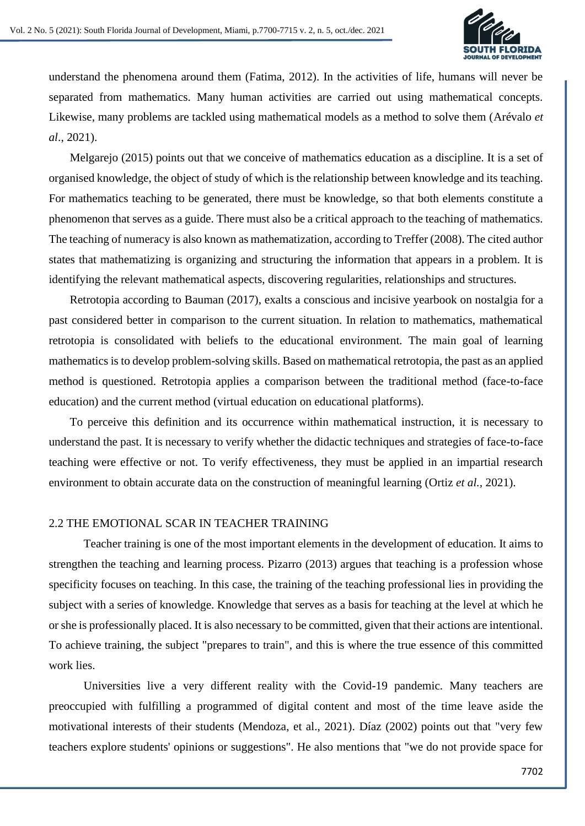

understand the phenomena around them (Fatima, 2012). In the activities of life, humans will never be separated from mathematics. Many human activities are carried out using mathematical concepts. Likewise, many problems are tackled using mathematical models as a method to solve them (Arévalo *et al*., 2021).

Melgarejo (2015) points out that we conceive of mathematics education as a discipline. It is a set of organised knowledge, the object of study of which is the relationship between knowledge and its teaching. For mathematics teaching to be generated, there must be knowledge, so that both elements constitute a phenomenon that serves as a guide. There must also be a critical approach to the teaching of mathematics. The teaching of numeracy is also known as mathematization, according to Treffer (2008). The cited author states that mathematizing is organizing and structuring the information that appears in a problem. It is identifying the relevant mathematical aspects, discovering regularities, relationships and structures.

Retrotopia according to Bauman (2017), exalts a conscious and incisive yearbook on nostalgia for a past considered better in comparison to the current situation. In relation to mathematics, mathematical retrotopia is consolidated with beliefs to the educational environment. The main goal of learning mathematics is to develop problem-solving skills. Based on mathematical retrotopia, the past as an applied method is questioned. Retrotopia applies a comparison between the traditional method (face-to-face education) and the current method (virtual education on educational platforms).

To perceive this definition and its occurrence within mathematical instruction, it is necessary to understand the past. It is necessary to verify whether the didactic techniques and strategies of face-to-face teaching were effective or not. To verify effectiveness, they must be applied in an impartial research environment to obtain accurate data on the construction of meaningful learning (Ortiz *et al.,* 2021).

#### 2.2 THE EMOTIONAL SCAR IN TEACHER TRAINING

Teacher training is one of the most important elements in the development of education. It aims to strengthen the teaching and learning process. Pizarro (2013) argues that teaching is a profession whose specificity focuses on teaching. In this case, the training of the teaching professional lies in providing the subject with a series of knowledge. Knowledge that serves as a basis for teaching at the level at which he or she is professionally placed. It is also necessary to be committed, given that their actions are intentional. To achieve training, the subject "prepares to train", and this is where the true essence of this committed work lies.

Universities live a very different reality with the Covid-19 pandemic. Many teachers are preoccupied with fulfilling a programmed of digital content and most of the time leave aside the motivational interests of their students (Mendoza, et al., 2021). Díaz (2002) points out that "very few teachers explore students' opinions or suggestions". He also mentions that "we do not provide space for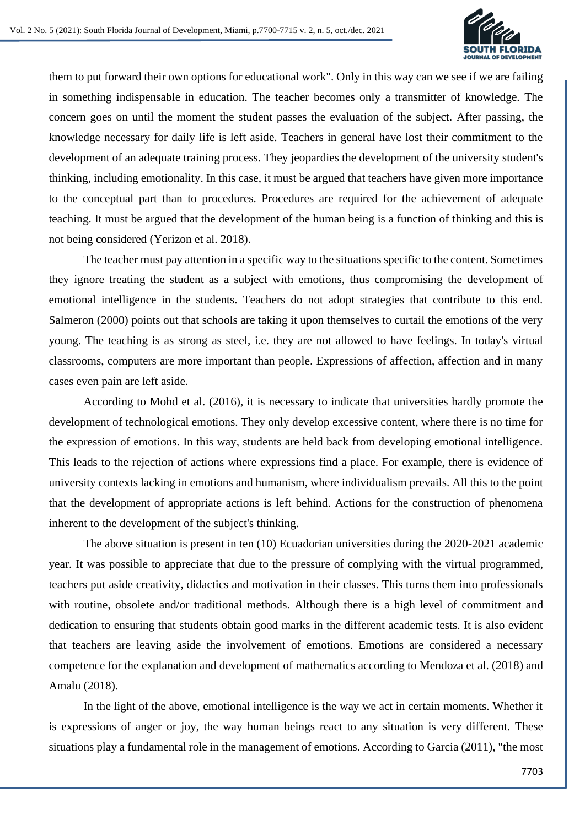

them to put forward their own options for educational work". Only in this way can we see if we are failing in something indispensable in education. The teacher becomes only a transmitter of knowledge. The concern goes on until the moment the student passes the evaluation of the subject. After passing, the knowledge necessary for daily life is left aside. Teachers in general have lost their commitment to the development of an adequate training process. They jeopardies the development of the university student's thinking, including emotionality. In this case, it must be argued that teachers have given more importance to the conceptual part than to procedures. Procedures are required for the achievement of adequate teaching. It must be argued that the development of the human being is a function of thinking and this is not being considered (Yerizon et al. 2018).

The teacher must pay attention in a specific way to the situations specific to the content. Sometimes they ignore treating the student as a subject with emotions, thus compromising the development of emotional intelligence in the students. Teachers do not adopt strategies that contribute to this end. Salmeron (2000) points out that schools are taking it upon themselves to curtail the emotions of the very young. The teaching is as strong as steel, i.e. they are not allowed to have feelings. In today's virtual classrooms, computers are more important than people. Expressions of affection, affection and in many cases even pain are left aside.

According to Mohd et al. (2016), it is necessary to indicate that universities hardly promote the development of technological emotions. They only develop excessive content, where there is no time for the expression of emotions. In this way, students are held back from developing emotional intelligence. This leads to the rejection of actions where expressions find a place. For example, there is evidence of university contexts lacking in emotions and humanism, where individualism prevails. All this to the point that the development of appropriate actions is left behind. Actions for the construction of phenomena inherent to the development of the subject's thinking.

The above situation is present in ten (10) Ecuadorian universities during the 2020-2021 academic year. It was possible to appreciate that due to the pressure of complying with the virtual programmed, teachers put aside creativity, didactics and motivation in their classes. This turns them into professionals with routine, obsolete and/or traditional methods. Although there is a high level of commitment and dedication to ensuring that students obtain good marks in the different academic tests. It is also evident that teachers are leaving aside the involvement of emotions. Emotions are considered a necessary competence for the explanation and development of mathematics according to Mendoza et al. (2018) and Amalu (2018).

In the light of the above, emotional intelligence is the way we act in certain moments. Whether it is expressions of anger or joy, the way human beings react to any situation is very different. These situations play a fundamental role in the management of emotions. According to Garcia (2011), "the most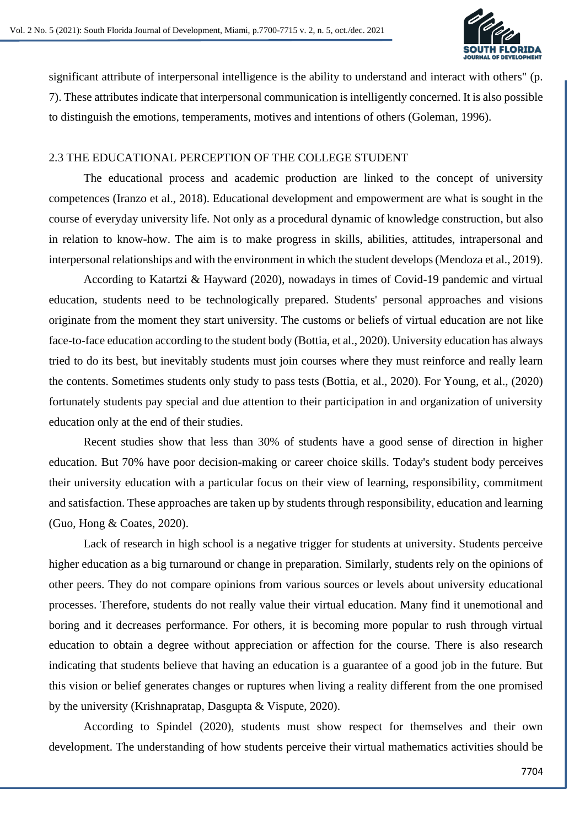

significant attribute of interpersonal intelligence is the ability to understand and interact with others" (p. 7). These attributes indicate that interpersonal communication is intelligently concerned. It is also possible to distinguish the emotions, temperaments, motives and intentions of others (Goleman, 1996).

## 2.3 THE EDUCATIONAL PERCEPTION OF THE COLLEGE STUDENT

The educational process and academic production are linked to the concept of university competences (Iranzo et al., 2018). Educational development and empowerment are what is sought in the course of everyday university life. Not only as a procedural dynamic of knowledge construction, but also in relation to know-how. The aim is to make progress in skills, abilities, attitudes, intrapersonal and interpersonal relationships and with the environment in which the student develops (Mendoza et al., 2019).

According to Katartzi & Hayward (2020), nowadays in times of Covid-19 pandemic and virtual education, students need to be technologically prepared. Students' personal approaches and visions originate from the moment they start university. The customs or beliefs of virtual education are not like face-to-face education according to the student body (Bottia, et al., 2020). University education has always tried to do its best, but inevitably students must join courses where they must reinforce and really learn the contents. Sometimes students only study to pass tests (Bottia, et al., 2020). For Young, et al., (2020) fortunately students pay special and due attention to their participation in and organization of university education only at the end of their studies.

Recent studies show that less than 30% of students have a good sense of direction in higher education. But 70% have poor decision-making or career choice skills. Today's student body perceives their university education with a particular focus on their view of learning, responsibility, commitment and satisfaction. These approaches are taken up by students through responsibility, education and learning (Guo, Hong & Coates, 2020).

Lack of research in high school is a negative trigger for students at university. Students perceive higher education as a big turnaround or change in preparation. Similarly, students rely on the opinions of other peers. They do not compare opinions from various sources or levels about university educational processes. Therefore, students do not really value their virtual education. Many find it unemotional and boring and it decreases performance. For others, it is becoming more popular to rush through virtual education to obtain a degree without appreciation or affection for the course. There is also research indicating that students believe that having an education is a guarantee of a good job in the future. But this vision or belief generates changes or ruptures when living a reality different from the one promised by the university (Krishnapratap, Dasgupta & Vispute, 2020).

According to Spindel (2020), students must show respect for themselves and their own development. The understanding of how students perceive their virtual mathematics activities should be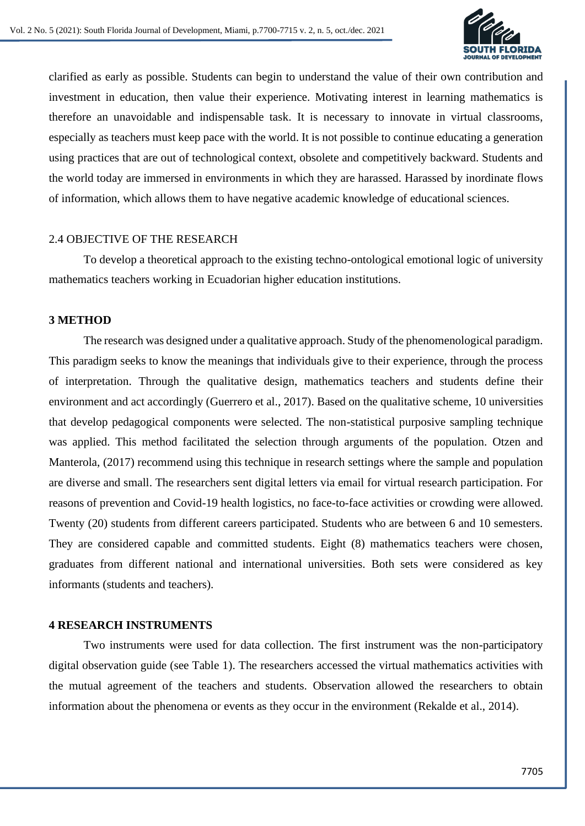

clarified as early as possible. Students can begin to understand the value of their own contribution and investment in education, then value their experience. Motivating interest in learning mathematics is therefore an unavoidable and indispensable task. It is necessary to innovate in virtual classrooms, especially as teachers must keep pace with the world. It is not possible to continue educating a generation using practices that are out of technological context, obsolete and competitively backward. Students and the world today are immersed in environments in which they are harassed. Harassed by inordinate flows of information, which allows them to have negative academic knowledge of educational sciences.

#### 2.4 OBJECTIVE OF THE RESEARCH

To develop a theoretical approach to the existing techno-ontological emotional logic of university mathematics teachers working in Ecuadorian higher education institutions.

#### **3 METHOD**

The research was designed under a qualitative approach. Study of the phenomenological paradigm. This paradigm seeks to know the meanings that individuals give to their experience, through the process of interpretation. Through the qualitative design, mathematics teachers and students define their environment and act accordingly (Guerrero et al., 2017). Based on the qualitative scheme, 10 universities that develop pedagogical components were selected. The non-statistical purposive sampling technique was applied. This method facilitated the selection through arguments of the population. Otzen and Manterola, (2017) recommend using this technique in research settings where the sample and population are diverse and small. The researchers sent digital letters via email for virtual research participation. For reasons of prevention and Covid-19 health logistics, no face-to-face activities or crowding were allowed. Twenty (20) students from different careers participated. Students who are between 6 and 10 semesters. They are considered capable and committed students. Eight (8) mathematics teachers were chosen, graduates from different national and international universities. Both sets were considered as key informants (students and teachers).

#### **4 RESEARCH INSTRUMENTS**

Two instruments were used for data collection. The first instrument was the non-participatory digital observation guide (see Table 1). The researchers accessed the virtual mathematics activities with the mutual agreement of the teachers and students. Observation allowed the researchers to obtain information about the phenomena or events as they occur in the environment (Rekalde et al., 2014).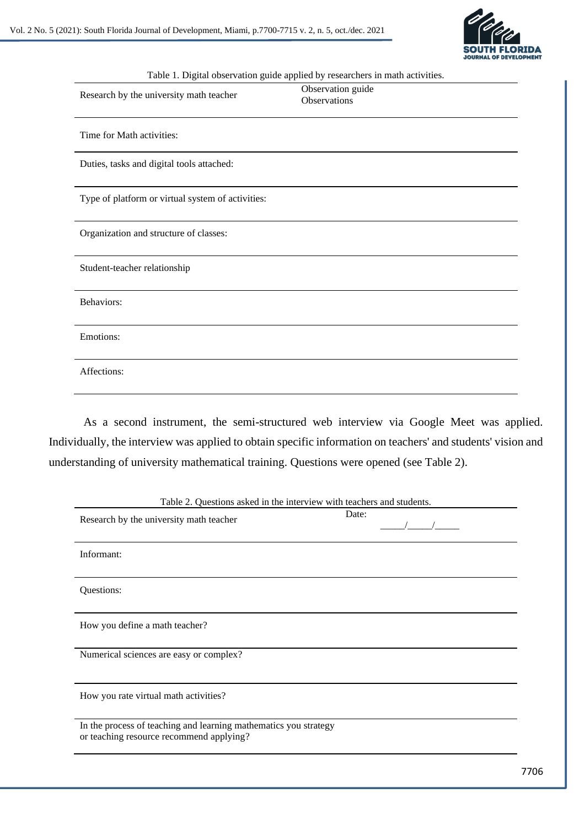

| Table 1. Digital observation guide applied by researchers in math activities. |                                          |
|-------------------------------------------------------------------------------|------------------------------------------|
| Research by the university math teacher                                       | Observation guide<br><b>Observations</b> |
| Time for Math activities:                                                     |                                          |
| Duties, tasks and digital tools attached:                                     |                                          |
| Type of platform or virtual system of activities:                             |                                          |
| Organization and structure of classes:                                        |                                          |
| Student-teacher relationship                                                  |                                          |
| Behaviors:                                                                    |                                          |
| Emotions:                                                                     |                                          |
| Affections:                                                                   |                                          |
|                                                                               |                                          |

As a second instrument, the semi-structured web interview via Google Meet was applied. Individually, the interview was applied to obtain specific information on teachers' and students' vision and understanding of university mathematical training. Questions were opened (see Table 2).

| Table 2. Questions asked in the interview with teachers and students.                                        |       |
|--------------------------------------------------------------------------------------------------------------|-------|
| Research by the university math teacher                                                                      | Date: |
| Informant:                                                                                                   |       |
| Questions:                                                                                                   |       |
| How you define a math teacher?                                                                               |       |
| Numerical sciences are easy or complex?                                                                      |       |
| How you rate virtual math activities?                                                                        |       |
| In the process of teaching and learning mathematics you strategy<br>or teaching resource recommend applying? |       |

Table 2. Questions asked in the interview with teachers and students.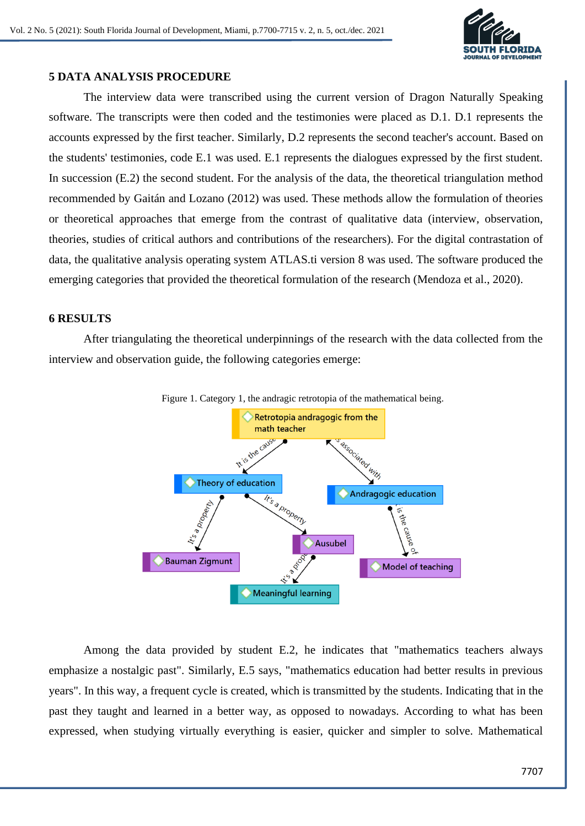

## **5 DATA ANALYSIS PROCEDURE**

The interview data were transcribed using the current version of Dragon Naturally Speaking software. The transcripts were then coded and the testimonies were placed as D.1. D.1 represents the accounts expressed by the first teacher. Similarly, D.2 represents the second teacher's account. Based on the students' testimonies, code E.1 was used. E.1 represents the dialogues expressed by the first student. In succession (E.2) the second student. For the analysis of the data, the theoretical triangulation method recommended by Gaitán and Lozano (2012) was used. These methods allow the formulation of theories or theoretical approaches that emerge from the contrast of qualitative data (interview, observation, theories, studies of critical authors and contributions of the researchers). For the digital contrastation of data, the qualitative analysis operating system ATLAS.ti version 8 was used. The software produced the emerging categories that provided the theoretical formulation of the research (Mendoza et al., 2020).

## **6 RESULTS**

After triangulating the theoretical underpinnings of the research with the data collected from the interview and observation guide, the following categories emerge:



Among the data provided by student E.2, he indicates that "mathematics teachers always emphasize a nostalgic past". Similarly, E.5 says, "mathematics education had better results in previous years". In this way, a frequent cycle is created, which is transmitted by the students. Indicating that in the past they taught and learned in a better way, as opposed to nowadays. According to what has been expressed, when studying virtually everything is easier, quicker and simpler to solve. Mathematical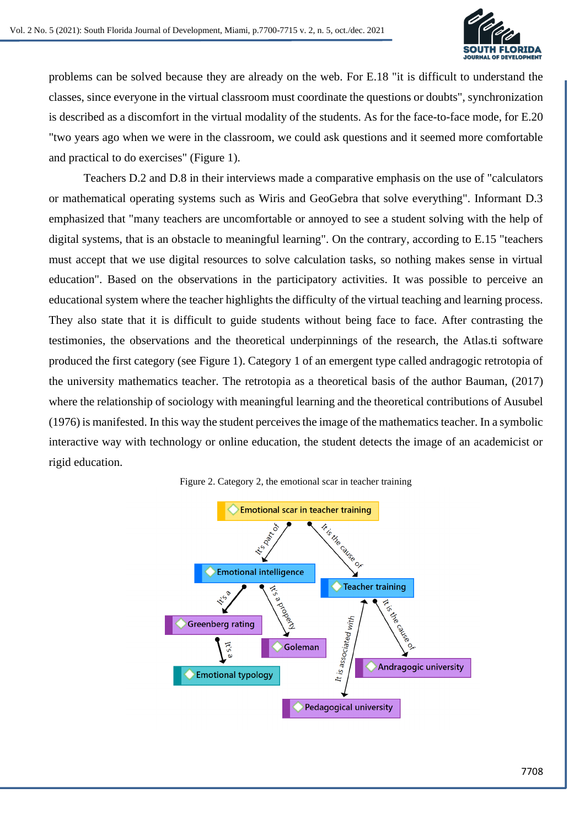

problems can be solved because they are already on the web. For E.18 "it is difficult to understand the classes, since everyone in the virtual classroom must coordinate the questions or doubts", synchronization is described as a discomfort in the virtual modality of the students. As for the face-to-face mode, for E.20 "two years ago when we were in the classroom, we could ask questions and it seemed more comfortable and practical to do exercises" (Figure 1).

Teachers D.2 and D.8 in their interviews made a comparative emphasis on the use of "calculators or mathematical operating systems such as Wiris and GeoGebra that solve everything". Informant D.3 emphasized that "many teachers are uncomfortable or annoyed to see a student solving with the help of digital systems, that is an obstacle to meaningful learning". On the contrary, according to E.15 "teachers must accept that we use digital resources to solve calculation tasks, so nothing makes sense in virtual education". Based on the observations in the participatory activities. It was possible to perceive an educational system where the teacher highlights the difficulty of the virtual teaching and learning process. They also state that it is difficult to guide students without being face to face. After contrasting the testimonies, the observations and the theoretical underpinnings of the research, the Atlas.ti software produced the first category (see Figure 1). Category 1 of an emergent type called andragogic retrotopia of the university mathematics teacher. The retrotopia as a theoretical basis of the author Bauman, (2017) where the relationship of sociology with meaningful learning and the theoretical contributions of Ausubel (1976) is manifested. In this way the student perceives the image of the mathematics teacher. In a symbolic interactive way with technology or online education, the student detects the image of an academicist or rigid education.



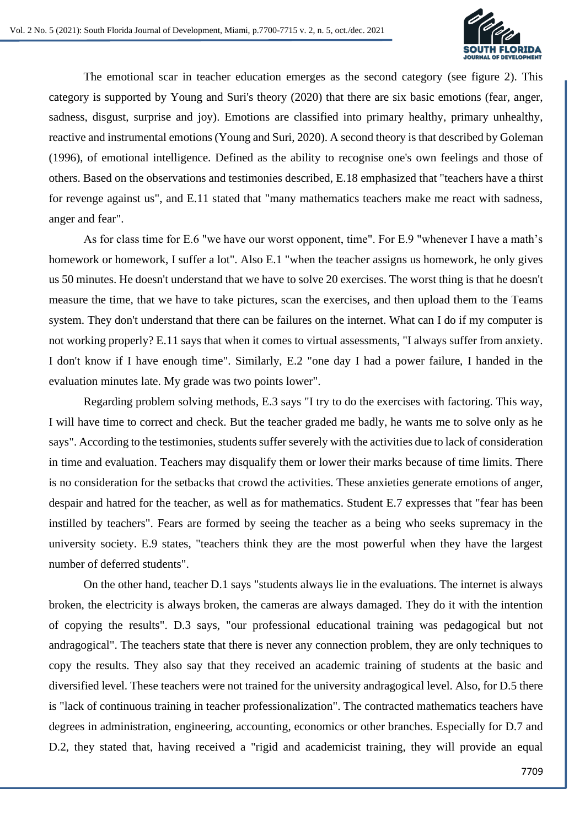

The emotional scar in teacher education emerges as the second category (see figure 2). This category is supported by Young and Suri's theory (2020) that there are six basic emotions (fear, anger, sadness, disgust, surprise and joy). Emotions are classified into primary healthy, primary unhealthy, reactive and instrumental emotions (Young and Suri, 2020). A second theory is that described by Goleman (1996), of emotional intelligence. Defined as the ability to recognise one's own feelings and those of others. Based on the observations and testimonies described, E.18 emphasized that "teachers have a thirst for revenge against us", and E.11 stated that "many mathematics teachers make me react with sadness, anger and fear".

As for class time for E.6 "we have our worst opponent, time". For E.9 "whenever I have a math's homework or homework, I suffer a lot". Also E.1 "when the teacher assigns us homework, he only gives us 50 minutes. He doesn't understand that we have to solve 20 exercises. The worst thing is that he doesn't measure the time, that we have to take pictures, scan the exercises, and then upload them to the Teams system. They don't understand that there can be failures on the internet. What can I do if my computer is not working properly? E.11 says that when it comes to virtual assessments, "I always suffer from anxiety. I don't know if I have enough time". Similarly, E.2 "one day I had a power failure, I handed in the evaluation minutes late. My grade was two points lower".

Regarding problem solving methods, E.3 says "I try to do the exercises with factoring. This way, I will have time to correct and check. But the teacher graded me badly, he wants me to solve only as he says". According to the testimonies, students suffer severely with the activities due to lack of consideration in time and evaluation. Teachers may disqualify them or lower their marks because of time limits. There is no consideration for the setbacks that crowd the activities. These anxieties generate emotions of anger, despair and hatred for the teacher, as well as for mathematics. Student E.7 expresses that "fear has been instilled by teachers". Fears are formed by seeing the teacher as a being who seeks supremacy in the university society. E.9 states, "teachers think they are the most powerful when they have the largest number of deferred students".

On the other hand, teacher D.1 says "students always lie in the evaluations. The internet is always broken, the electricity is always broken, the cameras are always damaged. They do it with the intention of copying the results". D.3 says, "our professional educational training was pedagogical but not andragogical". The teachers state that there is never any connection problem, they are only techniques to copy the results. They also say that they received an academic training of students at the basic and diversified level. These teachers were not trained for the university andragogical level. Also, for D.5 there is "lack of continuous training in teacher professionalization". The contracted mathematics teachers have degrees in administration, engineering, accounting, economics or other branches. Especially for D.7 and D.2, they stated that, having received a "rigid and academicist training, they will provide an equal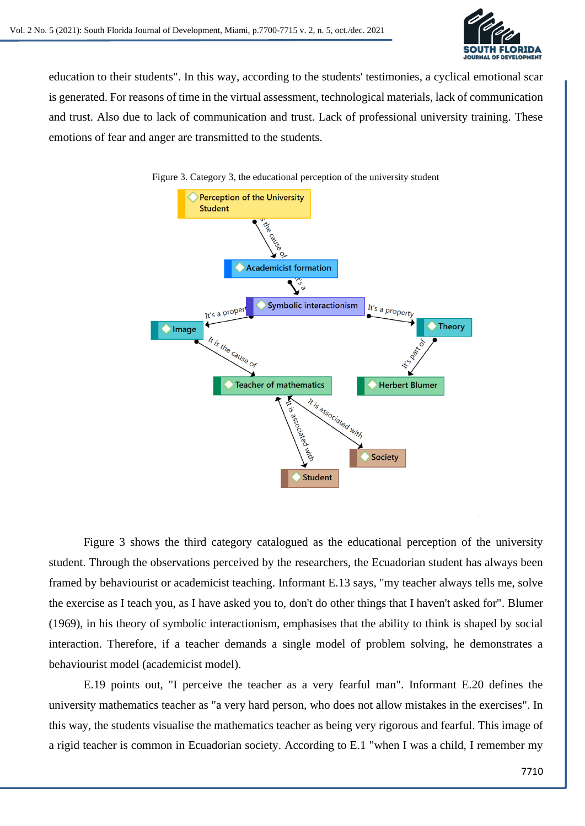

education to their students". In this way, according to the students' testimonies, a cyclical emotional scar is generated. For reasons of time in the virtual assessment, technological materials, lack of communication and trust. Also due to lack of communication and trust. Lack of professional university training. These emotions of fear and anger are transmitted to the students.



Figure 3 shows the third category catalogued as the educational perception of the university student. Through the observations perceived by the researchers, the Ecuadorian student has always been framed by behaviourist or academicist teaching. Informant E.13 says, "my teacher always tells me, solve the exercise as I teach you, as I have asked you to, don't do other things that I haven't asked for". Blumer (1969), in his theory of symbolic interactionism, emphasises that the ability to think is shaped by social interaction. Therefore, if a teacher demands a single model of problem solving, he demonstrates a behaviourist model (academicist model).

E.19 points out, "I perceive the teacher as a very fearful man". Informant E.20 defines the university mathematics teacher as "a very hard person, who does not allow mistakes in the exercises". In this way, the students visualise the mathematics teacher as being very rigorous and fearful. This image of a rigid teacher is common in Ecuadorian society. According to E.1 "when I was a child, I remember my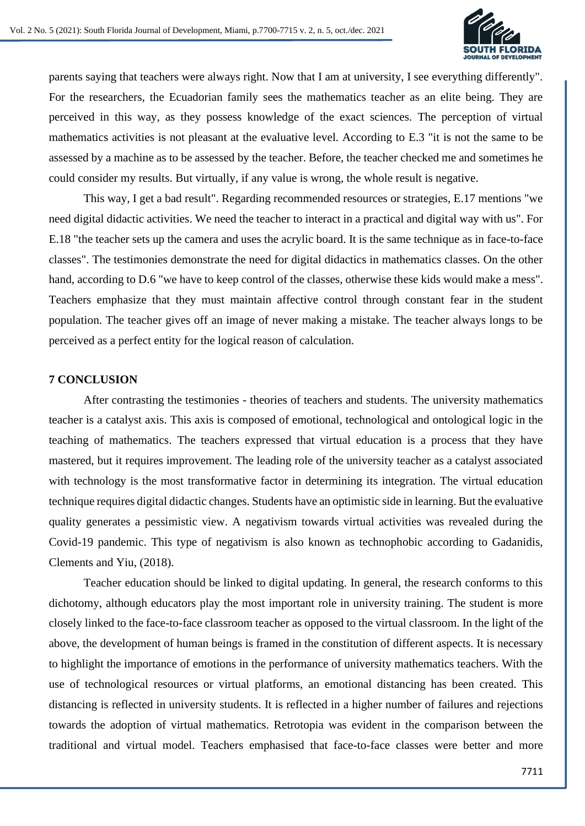

parents saying that teachers were always right. Now that I am at university, I see everything differently". For the researchers, the Ecuadorian family sees the mathematics teacher as an elite being. They are perceived in this way, as they possess knowledge of the exact sciences. The perception of virtual mathematics activities is not pleasant at the evaluative level. According to E.3 "it is not the same to be assessed by a machine as to be assessed by the teacher. Before, the teacher checked me and sometimes he could consider my results. But virtually, if any value is wrong, the whole result is negative.

This way, I get a bad result". Regarding recommended resources or strategies, E.17 mentions "we need digital didactic activities. We need the teacher to interact in a practical and digital way with us". For E.18 "the teacher sets up the camera and uses the acrylic board. It is the same technique as in face-to-face classes". The testimonies demonstrate the need for digital didactics in mathematics classes. On the other hand, according to D.6 "we have to keep control of the classes, otherwise these kids would make a mess". Teachers emphasize that they must maintain affective control through constant fear in the student population. The teacher gives off an image of never making a mistake. The teacher always longs to be perceived as a perfect entity for the logical reason of calculation.

#### **7 CONCLUSION**

After contrasting the testimonies - theories of teachers and students. The university mathematics teacher is a catalyst axis. This axis is composed of emotional, technological and ontological logic in the teaching of mathematics. The teachers expressed that virtual education is a process that they have mastered, but it requires improvement. The leading role of the university teacher as a catalyst associated with technology is the most transformative factor in determining its integration. The virtual education technique requires digital didactic changes. Students have an optimistic side in learning. But the evaluative quality generates a pessimistic view. A negativism towards virtual activities was revealed during the Covid-19 pandemic. This type of negativism is also known as technophobic according to Gadanidis, Clements and Yiu, (2018).

Teacher education should be linked to digital updating. In general, the research conforms to this dichotomy, although educators play the most important role in university training. The student is more closely linked to the face-to-face classroom teacher as opposed to the virtual classroom. In the light of the above, the development of human beings is framed in the constitution of different aspects. It is necessary to highlight the importance of emotions in the performance of university mathematics teachers. With the use of technological resources or virtual platforms, an emotional distancing has been created. This distancing is reflected in university students. It is reflected in a higher number of failures and rejections towards the adoption of virtual mathematics. Retrotopia was evident in the comparison between the traditional and virtual model. Teachers emphasised that face-to-face classes were better and more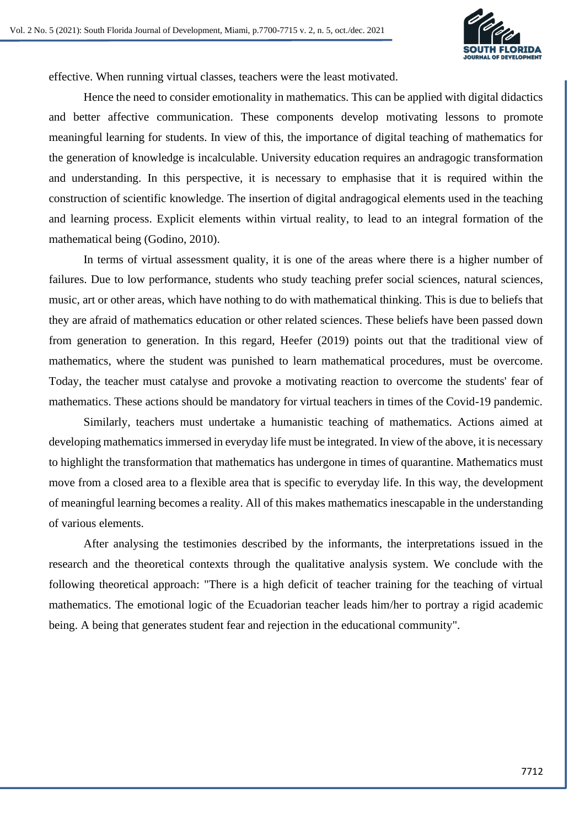

effective. When running virtual classes, teachers were the least motivated.

Hence the need to consider emotionality in mathematics. This can be applied with digital didactics and better affective communication. These components develop motivating lessons to promote meaningful learning for students. In view of this, the importance of digital teaching of mathematics for the generation of knowledge is incalculable. University education requires an andragogic transformation and understanding. In this perspective, it is necessary to emphasise that it is required within the construction of scientific knowledge. The insertion of digital andragogical elements used in the teaching and learning process. Explicit elements within virtual reality, to lead to an integral formation of the mathematical being (Godino, 2010).

In terms of virtual assessment quality, it is one of the areas where there is a higher number of failures. Due to low performance, students who study teaching prefer social sciences, natural sciences, music, art or other areas, which have nothing to do with mathematical thinking. This is due to beliefs that they are afraid of mathematics education or other related sciences. These beliefs have been passed down from generation to generation. In this regard, Heefer (2019) points out that the traditional view of mathematics, where the student was punished to learn mathematical procedures, must be overcome. Today, the teacher must catalyse and provoke a motivating reaction to overcome the students' fear of mathematics. These actions should be mandatory for virtual teachers in times of the Covid-19 pandemic.

Similarly, teachers must undertake a humanistic teaching of mathematics. Actions aimed at developing mathematics immersed in everyday life must be integrated. In view of the above, it is necessary to highlight the transformation that mathematics has undergone in times of quarantine. Mathematics must move from a closed area to a flexible area that is specific to everyday life. In this way, the development of meaningful learning becomes a reality. All of this makes mathematics inescapable in the understanding of various elements.

After analysing the testimonies described by the informants, the interpretations issued in the research and the theoretical contexts through the qualitative analysis system. We conclude with the following theoretical approach: "There is a high deficit of teacher training for the teaching of virtual mathematics. The emotional logic of the Ecuadorian teacher leads him/her to portray a rigid academic being. A being that generates student fear and rejection in the educational community".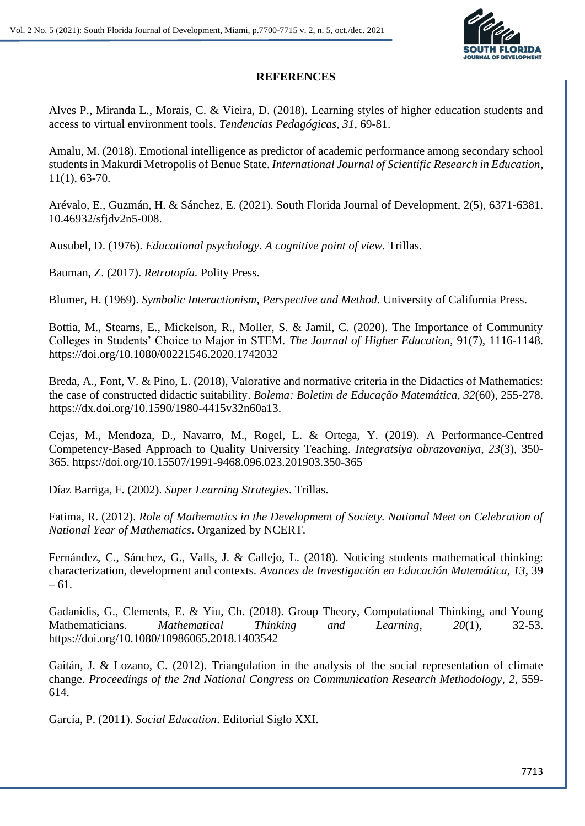

#### **REFERENCES**

Alves P., Miranda L., Morais, C. & Vieira, D. (2018). Learning styles of higher education students and access to virtual environment tools. *Tendencias Pedagógicas, 31*, 69-81.

Amalu, M. (2018). Emotional intelligence as predictor of academic performance among secondary school students in Makurdi Metropolis of Benue State. *International Journal of Scientific Research in Education*, 11(1), 63-70.

Arévalo, E., Guzmán, H. & Sánchez, E. (2021). South Florida Journal of Development, 2(5), 6371-6381. 10.46932/sfjdv2n5-008.

Ausubel, D. (1976). *Educational psychology. A cognitive point of view.* Trillas.

Bauman, Z. (2017). *Retrotopía.* Polity Press.

Blumer, H. (1969). *Symbolic Interactionism, Perspective and Method*. University of California Press.

Bottia, M., Stearns, E., Mickelson, R., Moller, S. & Jamil, C. (2020). The Importance of Community Colleges in Students' Choice to Major in STEM. *The Journal of Higher Education*, 91(7), 1116-1148. https://doi.org/10.1080/00221546.2020.1742032

Breda, A., Font, V. & Pino, L. (2018), Valorative and normative criteria in the Didactics of Mathematics: the case of constructed didactic suitability. *Bolema: Boletim de Educação Matemática, 32*(60), 255-278. https://dx.doi.org/10.1590/1980-4415v32n60a13.

Cejas, M., Mendoza, D., Navarro, M., Rogel, L. & Ortega, Y. (2019). A Performance-Centred Competency-Based Approach to Quality University Teaching. *Integratsiya obrazovaniya, 23*(3), 350- 365. https://doi.org/10.15507/1991-9468.096.023.201903.350-365

Díaz Barriga, F. (2002). *Super Learning Strategies*. Trillas.

Fatima, R. (2012). *Role of Mathematics in the Development of Society. National Meet on Celebration of National Year of Mathematics*. Organized by NCERT.

Fernández, C., Sánchez, G., Valls, J. & Callejo, L. (2018). Noticing students mathematical thinking: characterization, development and contexts. *Avances de Investigación en Educación Matemática, 13*, 39  $-61.$ 

Gadanidis, G., Clements, E. & Yiu, Ch. (2018). Group Theory, Computational Thinking, and Young Mathematicians. *Mathematical Thinking and Learning, 20*(1), 32-53. https://doi.org/10.1080/10986065.2018.1403542

Gaitán, J. & Lozano, C. (2012). Triangulation in the analysis of the social representation of climate change. *Proceedings of the 2nd National Congress on Communication Research Methodology, 2*, 559- 614.

García, P. (2011). *Social Education*. Editorial Siglo XXI.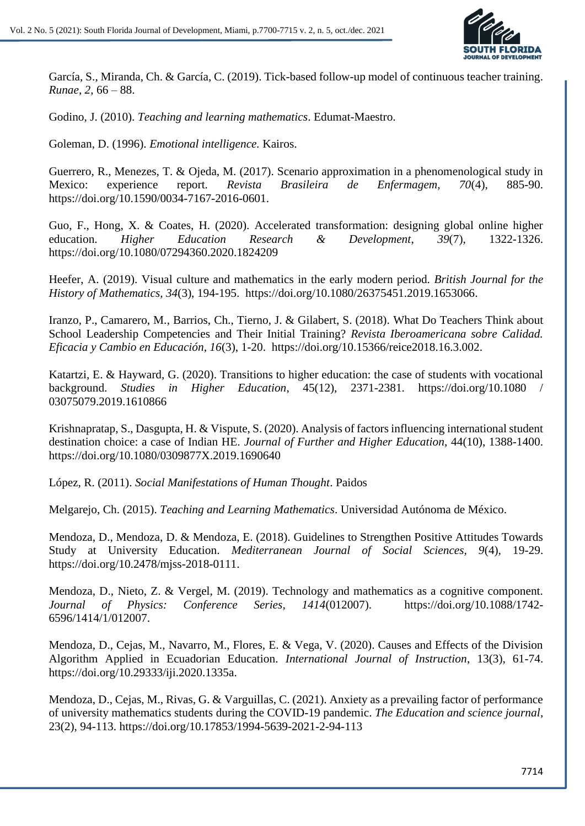

García, S., Miranda, Ch. & García, C. (2019). Tick-based follow-up model of continuous teacher training. *Runae, 2*, 66 – 88.

Godino, J. (2010). *Teaching and learning mathematics*. Edumat-Maestro.

Goleman, D. (1996). *Emotional intelligence.* Kairos.

Guerrero, R., Menezes, T. & Ojeda, M. (2017). Scenario approximation in a phenomenological study in Mexico: experience report. *Revista Brasileira de Enfermagem, 70*(4), 885-90. https://doi.org/10.1590/0034-7167-2016-0601.

Guo, F., Hong, X. & Coates, H. (2020). Accelerated transformation: designing global online higher education. *Higher Education Research & Development*, *39*(7), 1322-1326. https://doi.org/10.1080/07294360.2020.1824209

Heefer, A. (2019). Visual culture and mathematics in the early modern period. *British Journal for the History of Mathematics, 34*(3), 194-195. https://doi.org/10.1080/26375451.2019.1653066.

Iranzo, P., Camarero, M., Barrios, Ch., Tierno, J. & Gilabert, S. (2018). What Do Teachers Think about School Leadership Competencies and Their Initial Training? *Revista Iberoamericana sobre Calidad. Eficacia y Cambio en Educación, 16*(3), 1-20. https://doi.org/10.15366/reice2018.16.3.002.

Katartzi, E. & Hayward, G. (2020). Transitions to higher education: the case of students with vocational background. *Studies in Higher Education*, 45(12), 2371-2381. https://doi.org/10.1080 / 03075079.2019.1610866

Krishnapratap, S., Dasgupta, H. & Vispute, S. (2020). Analysis of factors influencing international student destination choice: a case of Indian HE. *Journal of Further and Higher Education*, 44(10), 1388-1400. https://doi.org/10.1080/0309877X.2019.1690640

López, R. (2011). *Social Manifestations of Human Thought*. Paidos

Melgarejo, Ch. (2015). *Teaching and Learning Mathematics*. Universidad Autónoma de México.

Mendoza, D., Mendoza, D. & Mendoza, E. (2018). Guidelines to Strengthen Positive Attitudes Towards Study at University Education. *Mediterranean Journal of Social Sciences, 9*(4), 19-29. https://doi.org/10.2478/mjss-2018-0111.

Mendoza, D., Nieto, Z. & Vergel, M. (2019). Technology and mathematics as a cognitive component. *Journal of Physics: Conference Series, 1414*(012007). https://doi.org/10.1088/1742- 6596/1414/1/012007.

Mendoza, D., Cejas, M., Navarro, M., Flores, E. & Vega, V. (2020). Causes and Effects of the Division Algorithm Applied in Ecuadorian Education. *International Journal of Instruction*, 13(3), 61-74. https://doi.org/10.29333/iji.2020.1335a.

Mendoza, D., Cejas, M., Rivas, G. & Varguillas, C. (2021). Anxiety as a prevailing factor of performance of university mathematics students during the COVID-19 pandemic. *The Education and science journal*, 23(2), 94-113. https://doi.org/10.17853/1994-5639-2021-2-94-113